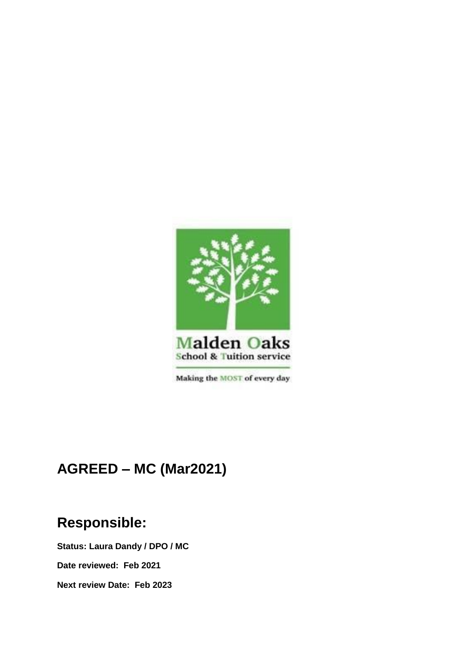

Making the MOST of every day

# **AGREED – MC (Mar2021)**

## **Responsible:**

**Status: Laura Dandy / DPO / MC**

**Date reviewed: Feb 2021**

**Next review Date: Feb 2023**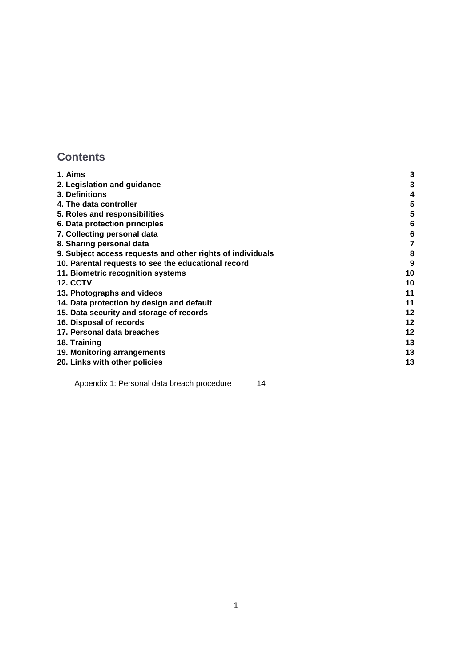## **Contents**

| 1. Aims                                                    | 3  |
|------------------------------------------------------------|----|
| 2. Legislation and guidance                                |    |
| 3. Definitions                                             | 4  |
| 4. The data controller                                     | 5  |
| 5. Roles and responsibilities                              | 5  |
| 6. Data protection principles                              | 6  |
| 7. Collecting personal data                                | 6  |
| 8. Sharing personal data                                   |    |
| 9. Subject access requests and other rights of individuals | 8  |
| 10. Parental requests to see the educational record        | 9  |
| 11. Biometric recognition systems                          | 10 |
| <b>12. CCTV</b>                                            | 10 |
| 13. Photographs and videos                                 | 11 |
| 14. Data protection by design and default                  | 11 |
| 15. Data security and storage of records                   | 12 |
| 16. Disposal of records                                    | 12 |
| 17. Personal data breaches                                 | 12 |
| 18. Training                                               | 13 |
| 19. Monitoring arrangements                                | 13 |
| 20. Links with other policies                              | 13 |
|                                                            |    |

[Appendix 1: Personal data breach procedure](#page-11-3) 14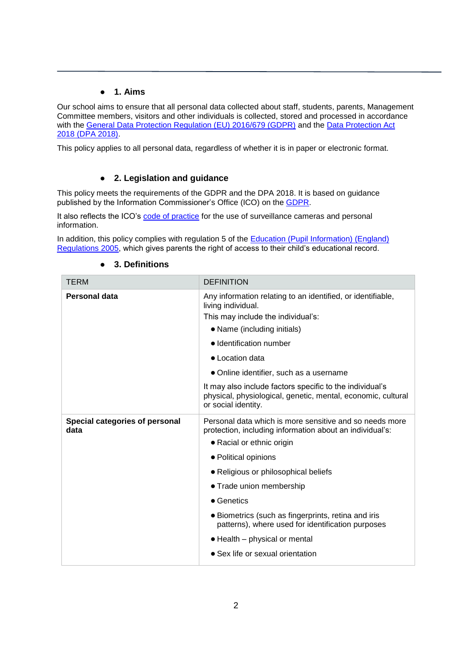## ● **1. Aims**

<span id="page-2-0"></span>Our school aims to ensure that all personal data collected about staff, students, parents, Management Committee members, visitors and other individuals is collected, stored and processed in accordance with the [General Data Protection Regulation \(EU\) 2016/679 \(GDPR\)](https://eur-lex.europa.eu/legal-content/EN/TXT/?qid=1528874672298&uri=CELEX:02016R0679-20160504) and the Data Protection Act [2018 \(DPA 2018\).](http://www.legislation.gov.uk/ukpga/2018/12/contents/enacted) 

This policy applies to all personal data, regardless of whether it is in paper or electronic format.

## ● **2. Legislation and guidance**

<span id="page-2-1"></span>This policy meets the requirements of the GDPR and the DPA 2018. It is based on guidance published by the Information Commissioner's Office (ICO) on the [GDPR.](https://ico.org.uk/for-organisations/guide-to-the-general-data-protection-regulation-gdpr/)

It also reflects the ICO's [code of practice](https://ico.org.uk/media/for-organisations/documents/1542/cctv-code-of-practice.pdf) for the use of surveillance cameras and personal information.

In addition, this policy complies with regulation 5 of the [Education \(Pupil Information\) \(England\)](http://www.legislation.gov.uk/uksi/2005/1437/regulation/5/made)  [Regulations 2005,](http://www.legislation.gov.uk/uksi/2005/1437/regulation/5/made) which gives parents the right of access to their child's educational record.

<span id="page-2-2"></span>

| <b>TERM</b>                            | <b>DEFINITION</b>                                                                                                                                |
|----------------------------------------|--------------------------------------------------------------------------------------------------------------------------------------------------|
| <b>Personal data</b>                   | Any information relating to an identified, or identifiable,<br>living individual.                                                                |
|                                        | This may include the individual's:                                                                                                               |
|                                        | • Name (including initials)                                                                                                                      |
|                                        | • Identification number                                                                                                                          |
|                                        | • Location data                                                                                                                                  |
|                                        | • Online identifier, such as a username                                                                                                          |
|                                        | It may also include factors specific to the individual's<br>physical, physiological, genetic, mental, economic, cultural<br>or social identity.  |
| Special categories of personal<br>data | Personal data which is more sensitive and so needs more<br>protection, including information about an individual's:<br>• Racial or ethnic origin |
|                                        | • Political opinions                                                                                                                             |
|                                        | • Religious or philosophical beliefs                                                                                                             |
|                                        | • Trade union membership                                                                                                                         |
|                                        | • Genetics                                                                                                                                       |
|                                        | • Biometrics (such as fingerprints, retina and iris<br>patterns), where used for identification purposes                                         |
|                                        | • Health – physical or mental                                                                                                                    |
|                                        | • Sex life or sexual orientation                                                                                                                 |

#### ● **3. Definitions**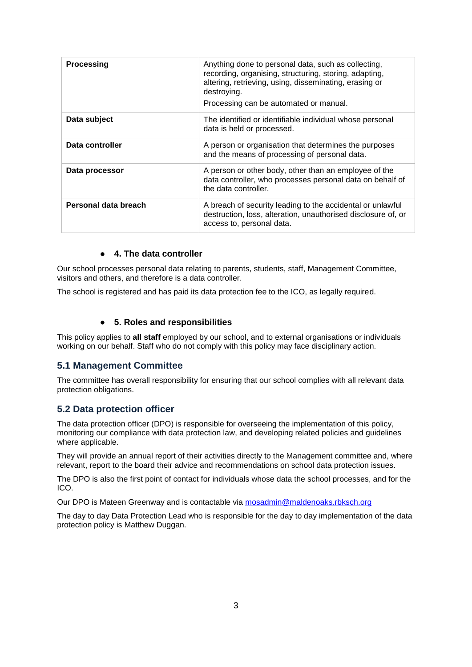| <b>Processing</b>    | Anything done to personal data, such as collecting,<br>recording, organising, structuring, storing, adapting,<br>altering, retrieving, using, disseminating, erasing or<br>destroving.<br>Processing can be automated or manual. |
|----------------------|----------------------------------------------------------------------------------------------------------------------------------------------------------------------------------------------------------------------------------|
| Data subject         | The identified or identifiable individual whose personal<br>data is held or processed.                                                                                                                                           |
| Data controller      | A person or organisation that determines the purposes<br>and the means of processing of personal data.                                                                                                                           |
| Data processor       | A person or other body, other than an employee of the<br>data controller, who processes personal data on behalf of<br>the data controller.                                                                                       |
| Personal data breach | A breach of security leading to the accidental or unlawful<br>destruction, loss, alteration, unauthorised disclosure of, or<br>access to, personal data.                                                                         |

## ● **4. The data controller**

<span id="page-3-0"></span>Our school processes personal data relating to parents, students, staff, Management Committee, visitors and others, and therefore is a data controller.

The school is registered and has paid its data protection fee to the ICO, as legally required.

## ● **5. Roles and responsibilities**

<span id="page-3-1"></span>This policy applies to **all staff** employed by our school, and to external organisations or individuals working on our behalf. Staff who do not comply with this policy may face disciplinary action.

#### **5.1 Management Committee**

The committee has overall responsibility for ensuring that our school complies with all relevant data protection obligations.

## **5.2 Data protection officer**

The data protection officer (DPO) is responsible for overseeing the implementation of this policy, monitoring our compliance with data protection law, and developing related policies and guidelines where applicable.

They will provide an annual report of their activities directly to the Management committee and, where relevant, report to the board their advice and recommendations on school data protection issues.

The DPO is also the first point of contact for individuals whose data the school processes, and for the ICO.

Our DPO is Mateen Greenway and is contactable via [mosadmin@maldenoaks.rbksch.org](mailto:mosadmin@maldenoaks.rbksch.org)

The day to day Data Protection Lead who is responsible for the day to day implementation of the data protection policy is Matthew Duggan.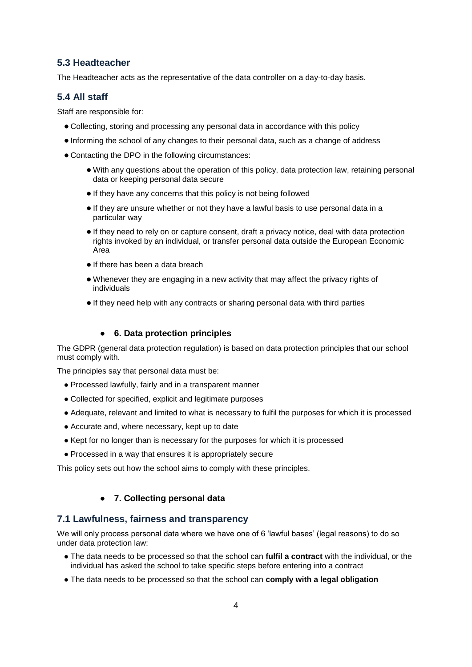## **5.3 Headteacher**

The Headteacher acts as the representative of the data controller on a day-to-day basis.

## **5.4 All staff**

Staff are responsible for:

- Collecting, storing and processing any personal data in accordance with this policy
- Informing the school of any changes to their personal data, such as a change of address
- Contacting the DPO in the following circumstances:
	- With any questions about the operation of this policy, data protection law, retaining personal data or keeping personal data secure
	- If they have any concerns that this policy is not being followed
	- If they are unsure whether or not they have a lawful basis to use personal data in a particular way
	- If they need to rely on or capture consent, draft a privacy notice, deal with data protection rights invoked by an individual, or transfer personal data outside the European Economic Area
	- If there has been a data breach
	- Whenever they are engaging in a new activity that may affect the privacy rights of individuals
	- If they need help with any contracts or sharing personal data with third parties

## ● **6. Data protection principles**

<span id="page-4-0"></span>The GDPR (general data protection regulation) is based on data protection principles that our school must comply with.

The principles say that personal data must be:

- Processed lawfully, fairly and in a transparent manner
- Collected for specified, explicit and legitimate purposes
- Adequate, relevant and limited to what is necessary to fulfil the purposes for which it is processed
- Accurate and, where necessary, kept up to date
- Kept for no longer than is necessary for the purposes for which it is processed
- Processed in a way that ensures it is appropriately secure

This policy sets out how the school aims to comply with these principles.

#### ● **7. Collecting personal data**

#### <span id="page-4-1"></span>**7.1 Lawfulness, fairness and transparency**

We will only process personal data where we have one of 6 'lawful bases' (legal reasons) to do so under data protection law:

- The data needs to be processed so that the school can **fulfil a contract** with the individual, or the individual has asked the school to take specific steps before entering into a contract
- The data needs to be processed so that the school can **comply with a legal obligation**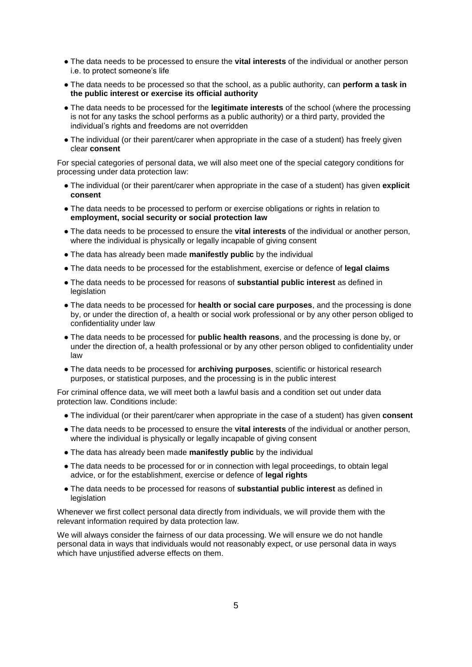- The data needs to be processed to ensure the **vital interests** of the individual or another person i.e. to protect someone's life
- The data needs to be processed so that the school, as a public authority, can **perform a task in the public interest or exercise its official authority**
- The data needs to be processed for the **legitimate interests** of the school (where the processing is not for any tasks the school performs as a public authority) or a third party, provided the individual's rights and freedoms are not overridden
- The individual (or their parent/carer when appropriate in the case of a student) has freely given clear **consent**

For special categories of personal data, we will also meet one of the special category conditions for processing under data protection law:

- The individual (or their parent/carer when appropriate in the case of a student) has given **explicit consent**
- The data needs to be processed to perform or exercise obligations or rights in relation to **employment, social security or social protection law**
- The data needs to be processed to ensure the **vital interests** of the individual or another person, where the individual is physically or legally incapable of giving consent
- The data has already been made **manifestly public** by the individual
- The data needs to be processed for the establishment, exercise or defence of **legal claims**
- The data needs to be processed for reasons of **substantial public interest** as defined in legislation
- The data needs to be processed for **health or social care purposes**, and the processing is done by, or under the direction of, a health or social work professional or by any other person obliged to confidentiality under law
- The data needs to be processed for **public health reasons**, and the processing is done by, or under the direction of, a health professional or by any other person obliged to confidentiality under law
- The data needs to be processed for **archiving purposes**, scientific or historical research purposes, or statistical purposes, and the processing is in the public interest

For criminal offence data, we will meet both a lawful basis and a condition set out under data protection law. Conditions include:

- The individual (or their parent/carer when appropriate in the case of a student) has given **consent**
- The data needs to be processed to ensure the **vital interests** of the individual or another person, where the individual is physically or legally incapable of giving consent
- The data has already been made **manifestly public** by the individual
- The data needs to be processed for or in connection with legal proceedings, to obtain legal advice, or for the establishment, exercise or defence of **legal rights**
- The data needs to be processed for reasons of **substantial public interest** as defined in legislation

Whenever we first collect personal data directly from individuals, we will provide them with the relevant information required by data protection law.

We will always consider the fairness of our data processing. We will ensure we do not handle personal data in ways that individuals would not reasonably expect, or use personal data in ways which have unjustified adverse effects on them.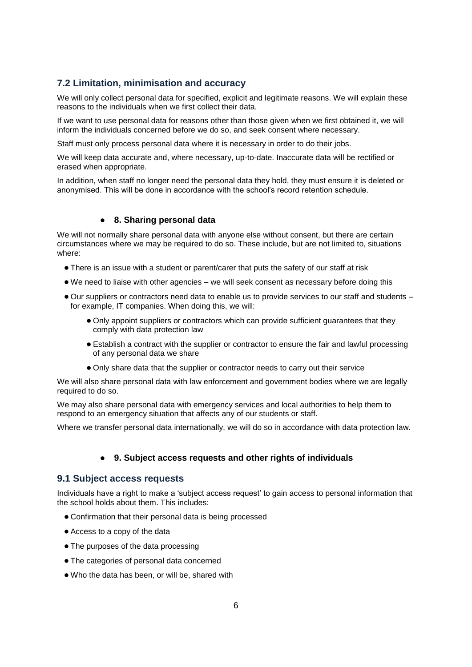## **7.2 Limitation, minimisation and accuracy**

We will only collect personal data for specified, explicit and legitimate reasons. We will explain these reasons to the individuals when we first collect their data.

If we want to use personal data for reasons other than those given when we first obtained it, we will inform the individuals concerned before we do so, and seek consent where necessary.

Staff must only process personal data where it is necessary in order to do their jobs.

We will keep data accurate and, where necessary, up-to-date. Inaccurate data will be rectified or erased when appropriate.

In addition, when staff no longer need the personal data they hold, they must ensure it is deleted or anonymised. This will be done in accordance with the school's record retention schedule.

#### ● **8. Sharing personal data**

<span id="page-6-0"></span>We will not normally share personal data with anyone else without consent, but there are certain circumstances where we may be required to do so. These include, but are not limited to, situations where:

- There is an issue with a student or parent/carer that puts the safety of our staff at risk
- We need to liaise with other agencies we will seek consent as necessary before doing this
- Our suppliers or contractors need data to enable us to provide services to our staff and students for example, IT companies. When doing this, we will:
	- Only appoint suppliers or contractors which can provide sufficient guarantees that they comply with data protection law
	- Establish a contract with the supplier or contractor to ensure the fair and lawful processing of any personal data we share
	- Only share data that the supplier or contractor needs to carry out their service

We will also share personal data with law enforcement and government bodies where we are legally required to do so.

We may also share personal data with emergency services and local authorities to help them to respond to an emergency situation that affects any of our students or staff.

Where we transfer personal data internationally, we will do so in accordance with data protection law.

#### ● **9. Subject access requests and other rights of individuals**

#### <span id="page-6-1"></span>**9.1 Subject access requests**

Individuals have a right to make a 'subject access request' to gain access to personal information that the school holds about them. This includes:

- Confirmation that their personal data is being processed
- Access to a copy of the data
- The purposes of the data processing
- The categories of personal data concerned
- Who the data has been, or will be, shared with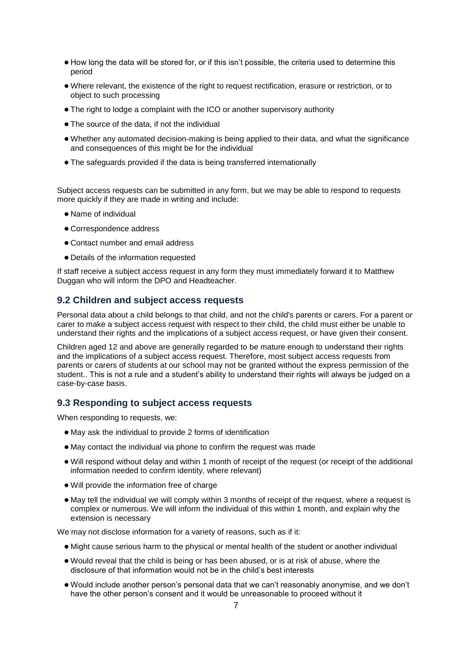- How long the data will be stored for, or if this isn't possible, the criteria used to determine this period
- Where relevant, the existence of the right to request rectification, erasure or restriction, or to object to such processing
- The right to lodge a complaint with the ICO or another supervisory authority
- The source of the data, if not the individual
- Whether any automated decision-making is being applied to their data, and what the significance and consequences of this might be for the individual
- The safeguards provided if the data is being transferred internationally

Subject access requests can be submitted in any form, but we may be able to respond to requests more quickly if they are made in writing and include:

- Name of individual
- Correspondence address
- Contact number and email address
- Details of the information requested

If staff receive a subject access request in any form they must immediately forward it to Matthew Duggan who will inform the DPO and Headteacher.

#### **9.2 Children and subject access requests**

Personal data about a child belongs to that child, and not the child's parents or carers. For a parent or carer to make a subject access request with respect to their child, the child must either be unable to understand their rights and the implications of a subject access request, or have given their consent.

Children aged 12 and above are generally regarded to be mature enough to understand their rights and the implications of a subject access request. Therefore, most subject access requests from parents or carers of students at our school may not be granted without the express permission of the student.. This is not a rule and a student's ability to understand their rights will always be judged on a case-by-case basis.

#### **9.3 Responding to subject access requests**

When responding to requests, we:

- May ask the individual to provide 2 forms of identification
- May contact the individual via phone to confirm the request was made
- Will respond without delay and within 1 month of receipt of the request (or receipt of the additional information needed to confirm identity, where relevant)
- Will provide the information free of charge
- May tell the individual we will comply within 3 months of receipt of the request, where a request is complex or numerous. We will inform the individual of this within 1 month, and explain why the extension is necessary

We may not disclose information for a variety of reasons, such as if it:

- Might cause serious harm to the physical or mental health of the student or another individual
- Would reveal that the child is being or has been abused, or is at risk of abuse, where the disclosure of that information would not be in the child's best interests
- Would include another person's personal data that we can't reasonably anonymise, and we don't have the other person's consent and it would be unreasonable to proceed without it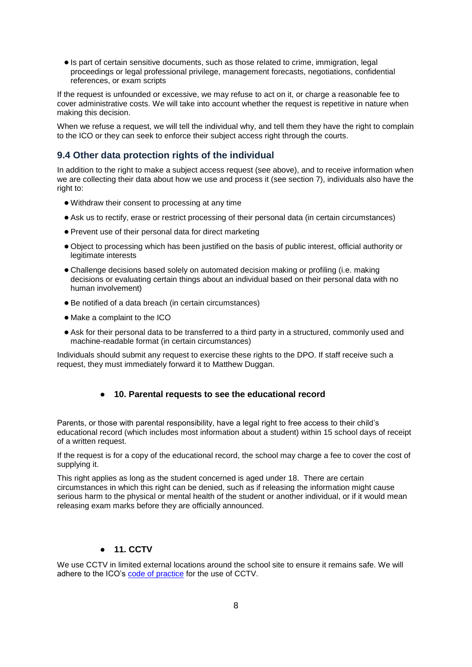● Is part of certain sensitive documents, such as those related to crime, immigration, legal proceedings or legal professional privilege, management forecasts, negotiations, confidential references, or exam scripts

If the request is unfounded or excessive, we may refuse to act on it, or charge a reasonable fee to cover administrative costs. We will take into account whether the request is repetitive in nature when making this decision.

When we refuse a request, we will tell the individual why, and tell them they have the right to complain to the ICO or they can seek to enforce their subject access right through the courts.

## **9.4 Other data protection rights of the individual**

In addition to the right to make a subject access request (see above), and to receive information when we are collecting their data about how we use and process it (see section 7), individuals also have the right to:

- Withdraw their consent to processing at any time
- Ask us to rectify, erase or restrict processing of their personal data (in certain circumstances)
- Prevent use of their personal data for direct marketing
- Object to processing which has been justified on the basis of public interest, official authority or legitimate interests
- Challenge decisions based solely on automated decision making or profiling (i.e. making decisions or evaluating certain things about an individual based on their personal data with no human involvement)
- Be notified of a data breach (in certain circumstances)
- Make a complaint to the ICO
- Ask for their personal data to be transferred to a third party in a structured, commonly used and machine-readable format (in certain circumstances)

Individuals should submit any request to exercise these rights to the DPO. If staff receive such a request, they must immediately forward it to Matthew Duggan.

#### ● **10. Parental requests to see the educational record**

<span id="page-8-0"></span>Parents, or those with parental responsibility, have a legal right to free access to their child's educational record (which includes most information about a student) within 15 school days of receipt of a written request.

If the request is for a copy of the educational record, the school may charge a fee to cover the cost of supplying it.

This right applies as long as the student concerned is aged under 18. There are certain circumstances in which this right can be denied, such as if releasing the information might cause serious harm to the physical or mental health of the student or another individual, or if it would mean releasing exam marks before they are officially announced.

## ● **11. CCTV**

<span id="page-8-1"></span>We use CCTV in limited external locations around the school site to ensure it remains safe. We will adhere to the ICO's [code of practice](https://ico.org.uk/media/for-organisations/documents/1542/cctv-code-of-practice.pdf) for the use of CCTV.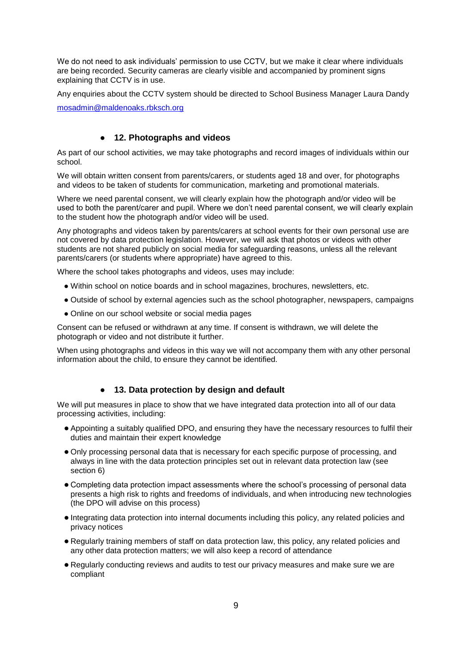We do not need to ask individuals' permission to use CCTV, but we make it clear where individuals are being recorded. Security cameras are clearly visible and accompanied by prominent signs explaining that CCTV is in use.

Any enquiries about the CCTV system should be directed to School Business Manager Laura Dandy

[mosadmin@maldenoaks.rbksch.org](mailto:mosadmin@maldenoaks.rbksch.org)

## ● **12. Photographs and videos**

<span id="page-9-0"></span>As part of our school activities, we may take photographs and record images of individuals within our school.

We will obtain written consent from parents/carers, or students aged 18 and over, for photographs and videos to be taken of students for communication, marketing and promotional materials.

Where we need parental consent, we will clearly explain how the photograph and/or video will be used to both the parent/carer and pupil. Where we don't need parental consent, we will clearly explain to the student how the photograph and/or video will be used.

Any photographs and videos taken by parents/carers at school events for their own personal use are not covered by data protection legislation. However, we will ask that photos or videos with other students are not shared publicly on social media for safeguarding reasons, unless all the relevant parents/carers (or students where appropriate) have agreed to this.

Where the school takes photographs and videos, uses may include:

- Within school on notice boards and in school magazines, brochures, newsletters, etc.
- Outside of school by external agencies such as the school photographer, newspapers, campaigns
- Online on our school website or social media pages

Consent can be refused or withdrawn at any time. If consent is withdrawn, we will delete the photograph or video and not distribute it further.

When using photographs and videos in this way we will not accompany them with any other personal information about the child, to ensure they cannot be identified.

#### ● **13. Data protection by design and default**

<span id="page-9-1"></span>We will put measures in place to show that we have integrated data protection into all of our data processing activities, including:

- Appointing a suitably qualified DPO, and ensuring they have the necessary resources to fulfil their duties and maintain their expert knowledge
- Only processing personal data that is necessary for each specific purpose of processing, and always in line with the data protection principles set out in relevant data protection law (see section 6)
- Completing data protection impact assessments where the school's processing of personal data presents a high risk to rights and freedoms of individuals, and when introducing new technologies (the DPO will advise on this process)
- Integrating data protection into internal documents including this policy, any related policies and privacy notices
- Regularly training members of staff on data protection law, this policy, any related policies and any other data protection matters; we will also keep a record of attendance
- Regularly conducting reviews and audits to test our privacy measures and make sure we are compliant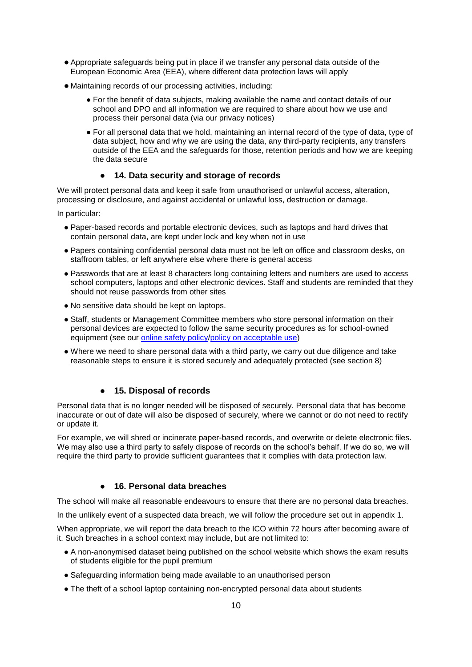- Appropriate safeguards being put in place if we transfer any personal data outside of the European Economic Area (EEA), where different data protection laws will apply
- Maintaining records of our processing activities, including:
	- For the benefit of data subjects, making available the name and contact details of our school and DPO and all information we are required to share about how we use and process their personal data (via our privacy notices)
	- For all personal data that we hold, maintaining an internal record of the type of data, type of data subject, how and why we are using the data, any third-party recipients, any transfers outside of the EEA and the safeguards for those, retention periods and how we are keeping the data secure

## ● **14. Data security and storage of records**

<span id="page-10-0"></span>We will protect personal data and keep it safe from unauthorised or unlawful access, alteration, processing or disclosure, and against accidental or unlawful loss, destruction or damage.

In particular:

- Paper-based records and portable electronic devices, such as laptops and hard drives that contain personal data, are kept under lock and key when not in use
- Papers containing confidential personal data must not be left on office and classroom desks, on staffroom tables, or left anywhere else where there is general access
- Passwords that are at least 8 characters long containing letters and numbers are used to access school computers, laptops and other electronic devices. Staff and students are reminded that they should not reuse passwords from other sites
- No sensitive data should be kept on laptops.
- Staff, students or Management Committee members who store personal information on their personal devices are expected to follow the same security procedures as for school-owned equipment (see our [online safety policy/](about:blank)[policy on acceptable use\)](https://tinyurl.com/y2j864wy)
- Where we need to share personal data with a third party, we carry out due diligence and take reasonable steps to ensure it is stored securely and adequately protected (see section 8)

## ● **15. Disposal of records**

<span id="page-10-1"></span>Personal data that is no longer needed will be disposed of securely. Personal data that has become inaccurate or out of date will also be disposed of securely, where we cannot or do not need to rectify or update it.

For example, we will shred or incinerate paper-based records, and overwrite or delete electronic files. We may also use a third party to safely dispose of records on the school's behalf. If we do so, we will require the third party to provide sufficient guarantees that it complies with data protection law.

## ● **16. Personal data breaches**

<span id="page-10-2"></span>The school will make all reasonable endeavours to ensure that there are no personal data breaches.

In the unlikely event of a suspected data breach, we will follow the procedure set out in appendix 1.

When appropriate, we will report the data breach to the ICO within 72 hours after becoming aware of it. Such breaches in a school context may include, but are not limited to:

- A non-anonymised dataset being published on the school website which shows the exam results of students eligible for the pupil premium
- Safeguarding information being made available to an unauthorised person
- The theft of a school laptop containing non-encrypted personal data about students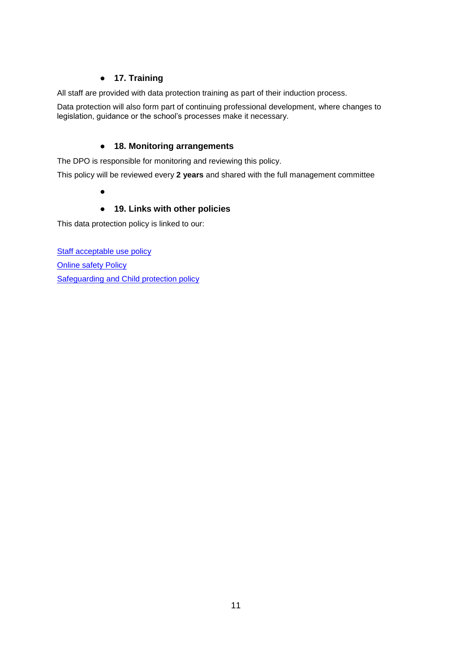## ● **17. Training**

<span id="page-11-0"></span>All staff are provided with data protection training as part of their induction process.

Data protection will also form part of continuing professional development, where changes to legislation, guidance or the school's processes make it necessary.

## ● **18. Monitoring arrangements**

<span id="page-11-1"></span>The DPO is responsible for monitoring and reviewing this policy.

<span id="page-11-2"></span>This policy will be reviewed every **2 years** and shared with the full management committee

●

## ● **19. Links with other policies**

This data protection policy is linked to our:

<span id="page-11-3"></span>[Staff acceptable use policy](about:blank) **[Online safety Policy](about:blank)** [Safeguarding and Child protection policy](about:blank)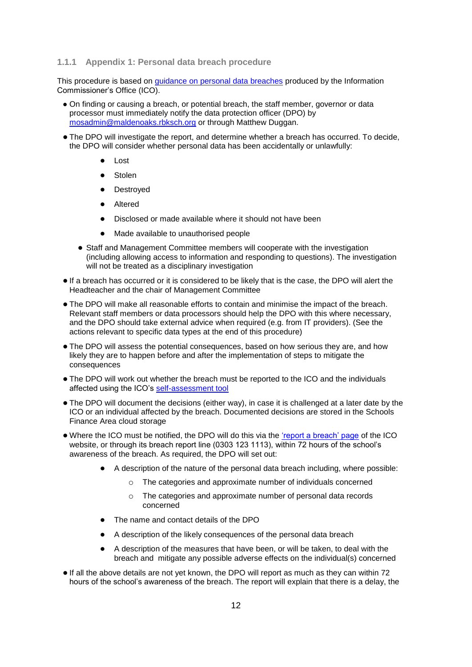#### **1.1.1 Appendix 1: Personal data breach procedure**

This procedure is based on [guidance on personal data breaches](https://ico.org.uk/for-organisations/guide-to-the-general-data-protection-regulation-gdpr/personal-data-breaches/) produced by the Information Commissioner's Office (ICO).

- On finding or causing a breach, or potential breach, the staff member, governor or data processor must immediately notify the data protection officer (DPO) by [mosadmin@maldenoaks.rbksch.org](mailto:mosadmin@maldenoaks.rbksch.org) or through Matthew Duggan.
- The DPO will investigate the report, and determine whether a breach has occurred. To decide, the DPO will consider whether personal data has been accidentally or unlawfully:
	- Lost
	- Stolen
	- Destroved
	- Altered
	- Disclosed or made available where it should not have been
	- Made available to unauthorised people
	- Staff and Management Committee members will cooperate with the investigation (including allowing access to information and responding to questions). The investigation will not be treated as a disciplinary investigation
- If a breach has occurred or it is considered to be likely that is the case, the DPO will alert the Headteacher and the chair of Management Committee
- The DPO will make all reasonable efforts to contain and minimise the impact of the breach. Relevant staff members or data processors should help the DPO with this where necessary, and the DPO should take external advice when required (e.g. from IT providers). (See the actions relevant to specific data types at the end of this procedure)
- The DPO will assess the potential consequences, based on how serious they are, and how likely they are to happen before and after the implementation of steps to mitigate the consequences
- The DPO will work out whether the breach must be reported to the ICO and the individuals affected using the ICO's [self-assessment tool](https://ico.org.uk/for-organisations/report-a-breach/personal-data-breach-assessment/)
- The DPO will document the decisions (either way), in case it is challenged at a later date by the ICO or an individual affected by the breach. Documented decisions are stored in the Schools Finance Area cloud storage
- Where the ICO must be notified, the DPO will do this via the ['report a breach' page](https://ico.org.uk/for-organisations/report-a-breach/) of the ICO website, or through its breach report line (0303 123 1113), within 72 hours of the school's awareness of the breach. As required, the DPO will set out:
	- A description of the nature of the personal data breach including, where possible:
		- $\circ$  The categories and approximate number of individuals concerned
		- o The categories and approximate number of personal data records concerned
	- The name and contact details of the DPO
	- A description of the likely consequences of the personal data breach
	- A description of the measures that have been, or will be taken, to deal with the breach and mitigate any possible adverse effects on the individual(s) concerned
- If all the above details are not yet known, the DPO will report as much as they can within 72 hours of the school's awareness of the breach. The report will explain that there is a delay, the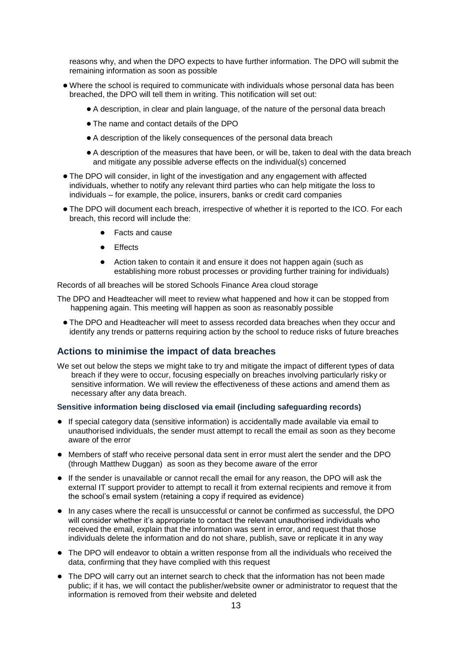reasons why, and when the DPO expects to have further information. The DPO will submit the remaining information as soon as possible

- Where the school is required to communicate with individuals whose personal data has been breached, the DPO will tell them in writing. This notification will set out:
	- A description, in clear and plain language, of the nature of the personal data breach
	- The name and contact details of the DPO
	- A description of the likely consequences of the personal data breach
	- A description of the measures that have been, or will be, taken to deal with the data breach and mitigate any possible adverse effects on the individual(s) concerned
- The DPO will consider, in light of the investigation and any engagement with affected individuals, whether to notify any relevant third parties who can help mitigate the loss to individuals – for example, the police, insurers, banks or credit card companies
- The DPO will document each breach, irrespective of whether it is reported to the ICO. For each breach, this record will include the:
	- **Facts and cause**
	- **Effects**
	- Action taken to contain it and ensure it does not happen again (such as establishing more robust processes or providing further training for individuals)

Records of all breaches will be stored Schools Finance Area cloud storage

- The DPO and Headteacher will meet to review what happened and how it can be stopped from happening again. This meeting will happen as soon as reasonably possible
	- The DPO and Headteacher will meet to assess recorded data breaches when they occur and identify any trends or patterns requiring action by the school to reduce risks of future breaches

#### **Actions to minimise the impact of data breaches**

We set out below the steps we might take to try and mitigate the impact of different types of data breach if they were to occur, focusing especially on breaches involving particularly risky or sensitive information. We will review the effectiveness of these actions and amend them as necessary after any data breach.

#### **Sensitive information being disclosed via email (including safeguarding records)**

- If special category data (sensitive information) is accidentally made available via email to unauthorised individuals, the sender must attempt to recall the email as soon as they become aware of the error
- Members of staff who receive personal data sent in error must alert the sender and the DPO (through Matthew Duggan) as soon as they become aware of the error
- If the sender is unavailable or cannot recall the email for any reason, the DPO will ask the external IT support provider to attempt to recall it from external recipients and remove it from the school's email system (retaining a copy if required as evidence)
- In any cases where the recall is unsuccessful or cannot be confirmed as successful, the DPO will consider whether it's appropriate to contact the relevant unauthorised individuals who received the email, explain that the information was sent in error, and request that those individuals delete the information and do not share, publish, save or replicate it in any way
- The DPO will endeavor to obtain a written response from all the individuals who received the data, confirming that they have complied with this request
- The DPO will carry out an internet search to check that the information has not been made public; if it has, we will contact the publisher/website owner or administrator to request that the information is removed from their website and deleted